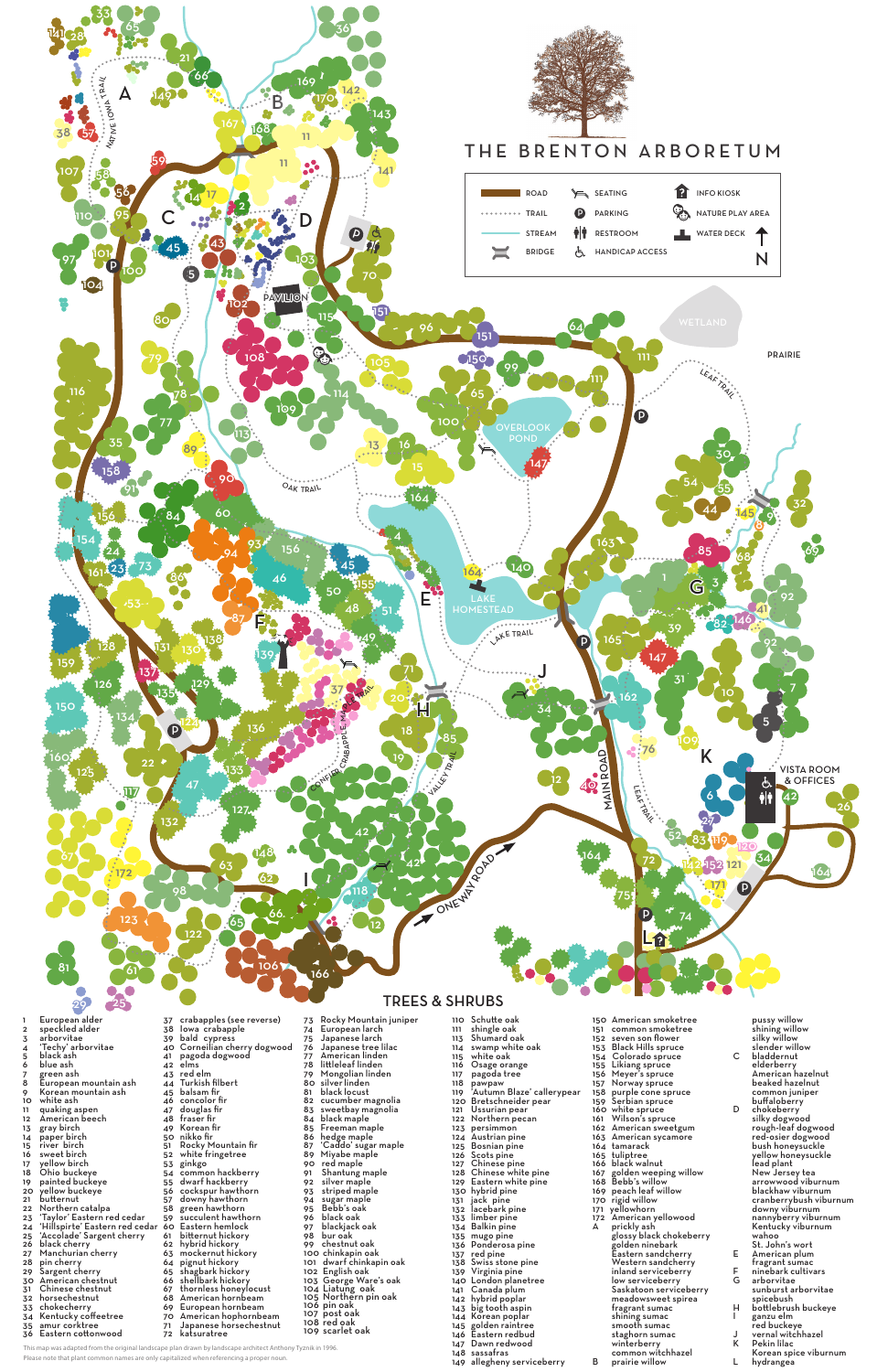

1 European alder<br>2 speckled alder<br>3 arborvitae arborvitae 'Techy' arborvitae 5 black ash<br>6 blue ash blue ash green ash sa Breen ann<br>8 European mountain ash<br>9 Korean mountain ash Korean mountain ash <sup>10</sup> white ash <sup>11</sup> quaking aspen <sup>12</sup> American beech 12 American beech<br>13 gray birch<br>14 paper birch 14 paper birch<br>15 river birch<br>16 sweet birch river birch 16 sweet birch<br>17 yellow birch

 'Taylor' Eastern red cedar 'Hillspirte' Eastern red cedar 'Accolade' Sargent cherry Iowa crabapple bald cypress Corneilian cherry dogwood pagoda dogwood elms red elm 44 Turkish filbert<br>45 balsam fir balsam fir concolor fir douglas fir fraser fir Korean fir nikko fir Rocky Mountain fir white fringetree 53 ginkgo<br>54 commo<br>55 dwarf h common hackberry dwarf hackberry 56 cockspur hawthorn downy hawthorn green hawthorn 59 succulent hawthorn<br>60 Eastern hemlock Eastern hemlock bitternut hickory hybrid hickory mockernut hickory pignut hickory shagbark hickory shellbark hickory thornless honeylocust American hornbeam European hornbeam American hophornbeam Japanese horsechestnut katsuratree

 black cherry Manchurian cherry pin cherry Sargent cherry American chestnut Chinese chestnut horsechestnut chokecherry Kentucky coffeetree 35 amur corktree<br>36 Eastern cotton Eastern cottonwood

19 painted buckeye<br>20 yellow buckeye<br>21 butternut<br>22 Northern catalpa

This map was adapted from the original landscape plan drawn by landscape architect Anthony Tyznik in 1996.

Please note that plant common names are only capitalized when referencing a proper noun.

 yellow birch Ohio buckeye  crabapples (see reverse) Rocky Mountain juniper European larch Japanese larch Japanese tree lilac 77 American linden<br>78 littleleaf linden littleleaf linden Mongolian linden 80 silverlinden 80 silverlinden<br>81 black locust cucumber magnolia sweetbay magnolia 83 sweetbay ma<br>84 black maple 85 Freeman maple<br>86 hedge maple 86 hedge maple<br>87 'Caddo' sugar 'Caddo' sugar maple Miyabe maple red maple Shantung maple silver maple striped maple sugar maple Bebb's oak 96 black oak<br>97 blackjack blackjack oak 98 bur oak<br>99 chestnut oak chestnut oak <sup>100</sup> chinkapin oak <sup>101</sup> dwarf chinkapin oak <sup>102</sup> English oak George Ware's oak 104 Liatung oak 105 Northern pin oak 106 pin oak 107 post oak 108 red oak scarlet oak

pawpaw

 Schutte oak <sup>111</sup> shingle oak Shumard oak swamp white oak white oak Osage orange 117 pagoda tree 119 'Autumn Blaze' callerypear<br>120 Bretschneider pear<br>121 Ussurian pear<br>122 Northern pecan 122 Northern pecan<br>123 persimmon<br>124 Austrian pine 124 Austrian pine<br>125 Bosnian pine 125 Bosnian pine<br>126 Scots pine<br>127 Chinese pine Scots pine Chinese pine Chinese white pine Eastern white pine hybrid pine jack pine lacebark pine limber pine 134 Balkin pine<br>135 mugo pine<br>136 Ponderosa mugo pine Ponderosa pine 137 red pine<br>138 Swiss sto<br>139 Virginia p Swiss stone pine Virginia pine London planetree Canada plum hybrid poplar big tooth aspin Korean poplar golden raintree Eastern redbud Dawn redwood sassafras allegheny serviceberry

 American smoketree common smoketree seven son flower Black Hills spruce 154 Colorado spruce Likiang spruce Meyer's spruce Norway spruce purple cone spruce Serbian spruce 160 white spruce<br>161 Wilson's spru Wilson's spruce American sweetgum 163 American sycamore<br>164 tamarack tamarack 165 tuliptree<br>166 black walnut<br>167 golden weep golden weeping willow Bebb's willow peach leaf willow rigid willow 171 yellowhorn American yellowood A prickly ash glossy black chokeberry golden ninebark Eastern sandcherry Western sandcherry inland serviceberry low serviceberry Saskatoon serviceberry meadowsweet spirea fragrant sumac shining sumac smooth sumac staghorn sumac winterberry common witchhazel B prairie willow

pussy willow shining willow silky willow slender willow C bladdernut elderberry American hazelnut beaked hazelnut common juniper buffaloberry D chokeberry silky dogwood rough-leaf dogwood red-osier dogwood bush honeysuckle yellow honeysuckle lead plant New Jersey tea arrowwood viburnum blackhaw viburnum cranberrybush viburnum downy viburnum nannyberry viburnum Kentucky viburnum wahoo St. John's wort E American plum fragrant sumac F ninebark cultivars G arborvitae sunburst arborvitae spicebush H bottlebrush buckeye I ganzu elm red buckeye J vernal witchhazel K Pekin lilac Korean spice viburnum L hydrangea